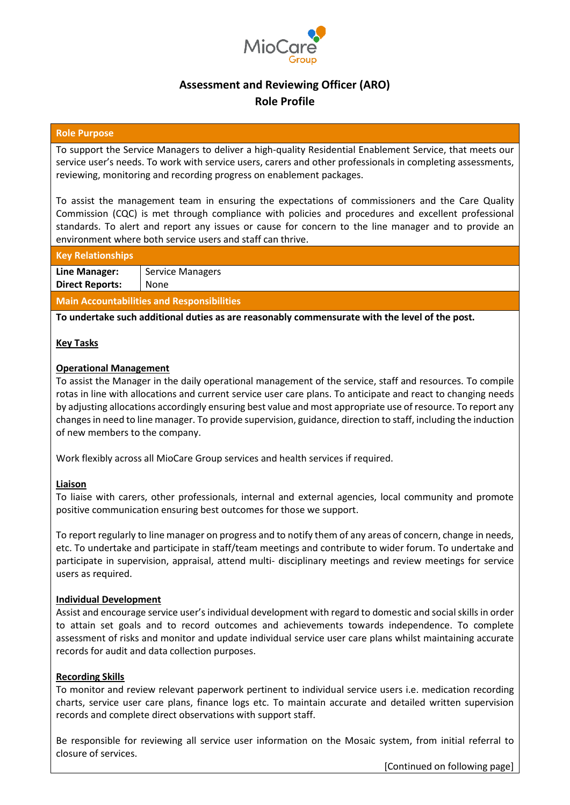

## **Assessment and Reviewing Officer (ARO) Role Profile**

#### **Role Purpose**

To support the Service Managers to deliver a high-quality Residential Enablement Service, that meets our service user's needs. To work with service users, carers and other professionals in completing assessments, reviewing, monitoring and recording progress on enablement packages.

To assist the management team in ensuring the expectations of commissioners and the Care Quality Commission (CQC) is met through compliance with policies and procedures and excellent professional standards. To alert and report any issues or cause for concern to the line manager and to provide an environment where both service users and staff can thrive.

#### **Key Relationships**

**Line Manager: Direct Reports:** Service Managers None

**Main Accountabilities and Responsibilities**

**To undertake such additional duties as are reasonably commensurate with the level of the post.**

#### **Key Tasks**

#### **Operational Management**

To assist the Manager in the daily operational management of the service, staff and resources. To compile rotas in line with allocations and current service user care plans. To anticipate and react to changing needs by adjusting allocations accordingly ensuring best value and most appropriate use of resource. To report any changes in need to line manager. To provide supervision, guidance, direction to staff, including the induction of new members to the company.

Work flexibly across all MioCare Group services and health services if required.

#### **Liaison**

To liaise with carers, other professionals, internal and external agencies, local community and promote positive communication ensuring best outcomes for those we support.

To report regularly to line manager on progress and to notify them of any areas of concern, change in needs, etc. To undertake and participate in staff/team meetings and contribute to wider forum. To undertake and participate in supervision, appraisal, attend multi- disciplinary meetings and review meetings for service users as required.

#### **Individual Development**

Assist and encourage service user's individual development with regard to domestic and social skills in order to attain set goals and to record outcomes and achievements towards independence. To complete assessment of risks and monitor and update individual service user care plans whilst maintaining accurate records for audit and data collection purposes.

#### **Recording Skills**

To monitor and review relevant paperwork pertinent to individual service users i.e. medication recording charts, service user care plans, finance logs etc. To maintain accurate and detailed written supervision records and complete direct observations with support staff.

Be responsible for reviewing all service user information on the Mosaic system, from initial referral to closure of services.

[Continued on following page]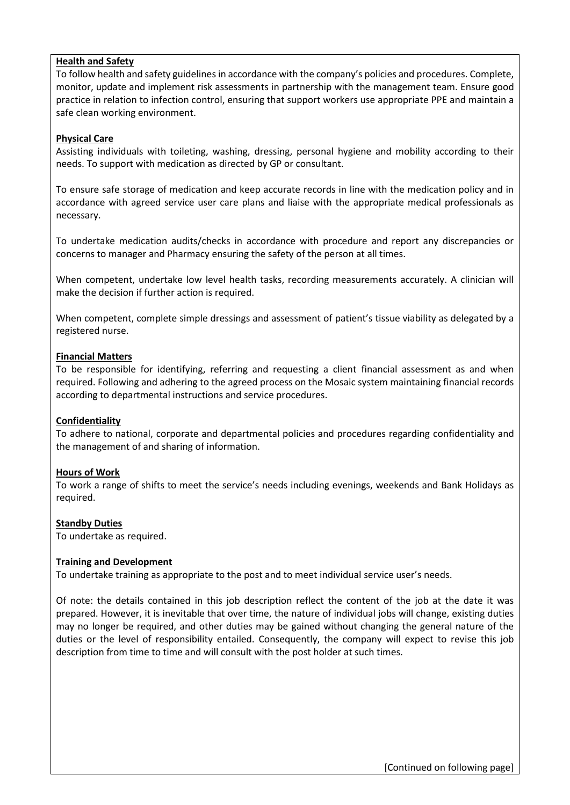#### **Health and Safety**

To follow health and safety guidelines in accordance with the company's policies and procedures. Complete, monitor, update and implement risk assessments in partnership with the management team. Ensure good practice in relation to infection control, ensuring that support workers use appropriate PPE and maintain a safe clean working environment.

#### **Physical Care**

Assisting individuals with toileting, washing, dressing, personal hygiene and mobility according to their needs. To support with medication as directed by GP or consultant.

To ensure safe storage of medication and keep accurate records in line with the medication policy and in accordance with agreed service user care plans and liaise with the appropriate medical professionals as necessary.

To undertake medication audits/checks in accordance with procedure and report any discrepancies or concerns to manager and Pharmacy ensuring the safety of the person at all times.

When competent, undertake low level health tasks, recording measurements accurately. A clinician will make the decision if further action is required.

When competent, complete simple dressings and assessment of patient's tissue viability as delegated by a registered nurse.

#### **Financial Matters**

To be responsible for identifying, referring and requesting a client financial assessment as and when required. Following and adhering to the agreed process on the Mosaic system maintaining financial records according to departmental instructions and service procedures.

### **Confidentiality**

To adhere to national, corporate and departmental policies and procedures regarding confidentiality and the management of and sharing of information.

### **Hours of Work**

To work a range of shifts to meet the service's needs including evenings, weekends and Bank Holidays as required.

#### **Standby Duties**

To undertake as required.

#### **Training and Development**

To undertake training as appropriate to the post and to meet individual service user's needs.

Of note: the details contained in this job description reflect the content of the job at the date it was prepared. However, it is inevitable that over time, the nature of individual jobs will change, existing duties may no longer be required, and other duties may be gained without changing the general nature of the duties or the level of responsibility entailed. Consequently, the company will expect to revise this job description from time to time and will consult with the post holder at such times.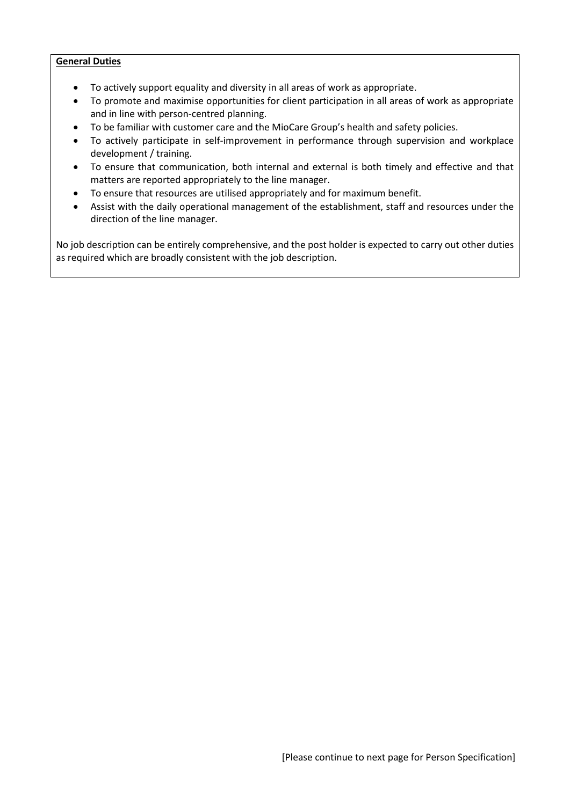#### **General Duties**

- To actively support equality and diversity in all areas of work as appropriate.
- To promote and maximise opportunities for client participation in all areas of work as appropriate and in line with person-centred planning.
- To be familiar with customer care and the MioCare Group's health and safety policies.
- To actively participate in self-improvement in performance through supervision and workplace development / training.
- To ensure that communication, both internal and external is both timely and effective and that matters are reported appropriately to the line manager.
- To ensure that resources are utilised appropriately and for maximum benefit.
- Assist with the daily operational management of the establishment, staff and resources under the direction of the line manager.

No job description can be entirely comprehensive, and the post holder is expected to carry out other duties as required which are broadly consistent with the job description.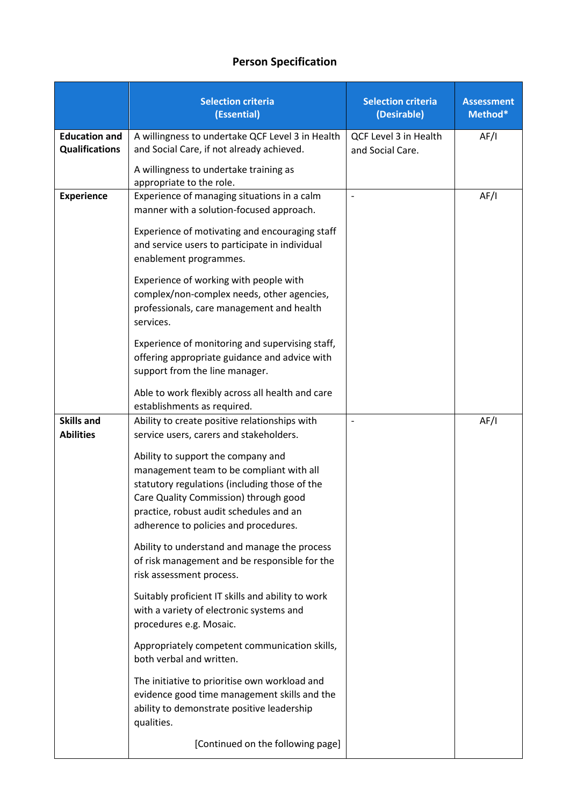# **Person Specification**

|                                               | <b>Selection criteria</b><br>(Essential)                                                                                                                                                                                                                     | <b>Selection criteria</b><br>(Desirable)  | <b>Assessment</b><br>Method* |
|-----------------------------------------------|--------------------------------------------------------------------------------------------------------------------------------------------------------------------------------------------------------------------------------------------------------------|-------------------------------------------|------------------------------|
| <b>Education and</b><br><b>Qualifications</b> | A willingness to undertake QCF Level 3 in Health<br>and Social Care, if not already achieved.                                                                                                                                                                | QCF Level 3 in Health<br>and Social Care. | AF/I                         |
|                                               | A willingness to undertake training as<br>appropriate to the role.                                                                                                                                                                                           |                                           |                              |
| <b>Experience</b>                             | Experience of managing situations in a calm<br>manner with a solution-focused approach.                                                                                                                                                                      |                                           | AF/I                         |
|                                               | Experience of motivating and encouraging staff<br>and service users to participate in individual<br>enablement programmes.                                                                                                                                   |                                           |                              |
|                                               | Experience of working with people with<br>complex/non-complex needs, other agencies,<br>professionals, care management and health<br>services.                                                                                                               |                                           |                              |
|                                               | Experience of monitoring and supervising staff,<br>offering appropriate guidance and advice with<br>support from the line manager.                                                                                                                           |                                           |                              |
|                                               | Able to work flexibly across all health and care<br>establishments as required.                                                                                                                                                                              |                                           |                              |
| <b>Skills and</b><br><b>Abilities</b>         | Ability to create positive relationships with<br>service users, carers and stakeholders.                                                                                                                                                                     |                                           | AF/I                         |
|                                               | Ability to support the company and<br>management team to be compliant with all<br>statutory regulations (including those of the<br>Care Quality Commission) through good<br>practice, robust audit schedules and an<br>adherence to policies and procedures. |                                           |                              |
|                                               | Ability to understand and manage the process<br>of risk management and be responsible for the<br>risk assessment process.                                                                                                                                    |                                           |                              |
|                                               | Suitably proficient IT skills and ability to work<br>with a variety of electronic systems and<br>procedures e.g. Mosaic.                                                                                                                                     |                                           |                              |
|                                               | Appropriately competent communication skills,<br>both verbal and written.                                                                                                                                                                                    |                                           |                              |
|                                               | The initiative to prioritise own workload and<br>evidence good time management skills and the<br>ability to demonstrate positive leadership<br>qualities.                                                                                                    |                                           |                              |
|                                               | [Continued on the following page]                                                                                                                                                                                                                            |                                           |                              |